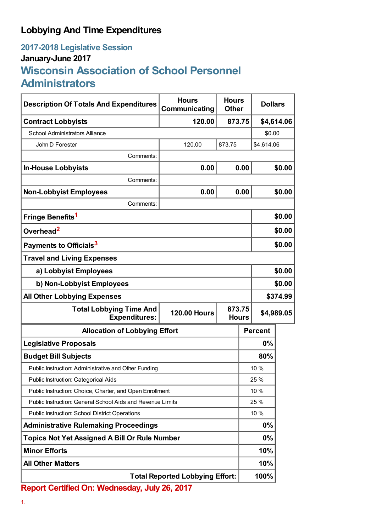## **Lobbying And Time Expenditures**

## **2017-2018 Legislative Session January-June 2017 Wisconsin Association of School Personnel Administrators**

| <b>Description Of Totals And Expenditures</b>                                                           | <b>Hours</b><br>Communicating | <b>Hours</b><br><b>Other</b> |            | <b>Dollars</b> |            |
|---------------------------------------------------------------------------------------------------------|-------------------------------|------------------------------|------------|----------------|------------|
| <b>Contract Lobbyists</b>                                                                               | 120.00                        | 873.75                       |            |                | \$4,614.06 |
| School Administrators Alliance                                                                          |                               |                              |            | \$0.00         |            |
| John D Forester                                                                                         | 120.00                        | 873.75                       |            | \$4,614.06     |            |
| Comments:                                                                                               |                               |                              |            |                |            |
| <b>In-House Lobbyists</b>                                                                               | 0.00                          | 0.00                         |            | \$0.00         |            |
| Comments:                                                                                               |                               |                              |            |                |            |
| <b>Non-Lobbyist Employees</b>                                                                           | 0.00                          | 0.00                         |            | \$0.00         |            |
| Comments:                                                                                               |                               |                              |            |                |            |
| Fringe Benefits <sup>1</sup>                                                                            |                               |                              |            |                | \$0.00     |
| Overhead <sup>2</sup>                                                                                   |                               |                              |            | \$0.00         |            |
| Payments to Officials <sup>3</sup>                                                                      |                               |                              |            | \$0.00         |            |
| <b>Travel and Living Expenses</b>                                                                       |                               |                              |            |                |            |
| a) Lobbyist Employees                                                                                   |                               |                              |            | \$0.00         |            |
| b) Non-Lobbyist Employees                                                                               |                               |                              |            | \$0.00         |            |
| <b>All Other Lobbying Expenses</b>                                                                      |                               |                              |            | \$374.99       |            |
| 873.75<br><b>Total Lobbying Time And</b><br><b>120.00 Hours</b><br><b>Expenditures:</b><br><b>Hours</b> |                               |                              | \$4,989.05 |                |            |
| <b>Allocation of Lobbying Effort</b>                                                                    |                               |                              |            | <b>Percent</b> |            |
| <b>Legislative Proposals</b>                                                                            |                               |                              | 0%         |                |            |
| <b>Budget Bill Subjects</b>                                                                             |                               |                              |            | 80%            |            |
| Public Instruction: Administrative and Other Funding                                                    |                               |                              | 10 %       |                |            |
| Public Instruction: Categorical Aids                                                                    |                               |                              | 25 %       |                |            |
| Public Instruction: Choice, Charter, and Open Enrollment                                                |                               |                              | 10 %       |                |            |
| Public Instruction: General School Aids and Revenue Limits                                              |                               |                              | 25 %       |                |            |
| <b>Public Instruction: School District Operations</b>                                                   |                               |                              | 10 %       |                |            |
| <b>Administrative Rulemaking Proceedings</b>                                                            |                               |                              | 0%         |                |            |
| <b>Topics Not Yet Assigned A Bill Or Rule Number</b>                                                    |                               |                              | 0%         |                |            |
| <b>Minor Efforts</b>                                                                                    |                               |                              | 10%        |                |            |
| <b>All Other Matters</b>                                                                                |                               |                              | 10%        |                |            |
| <b>Total Reported Lobbying Effort:</b>                                                                  |                               |                              |            | 100%           |            |

**Report Certified On: Wednesday, July 26, 2017**